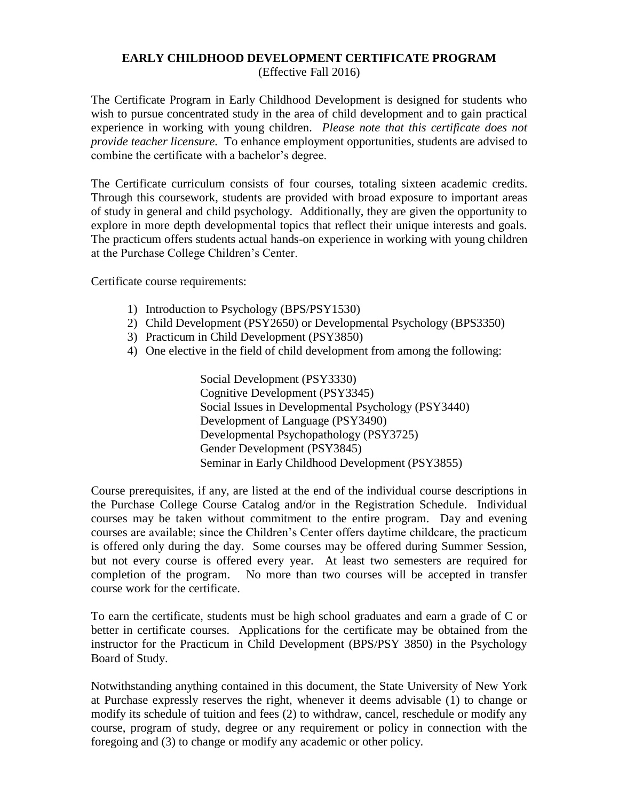## **EARLY CHILDHOOD DEVELOPMENT CERTIFICATE PROGRAM**

(Effective Fall 2016)

The Certificate Program in Early Childhood Development is designed for students who wish to pursue concentrated study in the area of child development and to gain practical experience in working with young children. *Please note that this certificate does not provide teacher licensure.* To enhance employment opportunities, students are advised to combine the certificate with a bachelor's degree.

The Certificate curriculum consists of four courses, totaling sixteen academic credits. Through this coursework, students are provided with broad exposure to important areas of study in general and child psychology. Additionally, they are given the opportunity to explore in more depth developmental topics that reflect their unique interests and goals. The practicum offers students actual hands-on experience in working with young children at the Purchase College Children's Center.

Certificate course requirements:

- 1) Introduction to Psychology (BPS/PSY1530)
- 2) Child Development (PSY2650) or Developmental Psychology (BPS3350)
- 3) Practicum in Child Development (PSY3850)
- 4) One elective in the field of child development from among the following:

Social Development (PSY3330) Cognitive Development (PSY3345) Social Issues in Developmental Psychology (PSY3440) Development of Language (PSY3490) Developmental Psychopathology (PSY3725) Gender Development (PSY3845) Seminar in Early Childhood Development (PSY3855)

Course prerequisites, if any, are listed at the end of the individual course descriptions in the Purchase College Course Catalog and/or in the Registration Schedule. Individual courses may be taken without commitment to the entire program. Day and evening courses are available; since the Children's Center offers daytime childcare, the practicum is offered only during the day. Some courses may be offered during Summer Session, but not every course is offered every year. At least two semesters are required for completion of the program. No more than two courses will be accepted in transfer course work for the certificate.

To earn the certificate, students must be high school graduates and earn a grade of C or better in certificate courses. Applications for the certificate may be obtained from the instructor for the Practicum in Child Development (BPS/PSY 3850) in the Psychology Board of Study.

Notwithstanding anything contained in this document, the State University of New York at Purchase expressly reserves the right, whenever it deems advisable (1) to change or modify its schedule of tuition and fees (2) to withdraw, cancel, reschedule or modify any course, program of study, degree or any requirement or policy in connection with the foregoing and (3) to change or modify any academic or other policy.